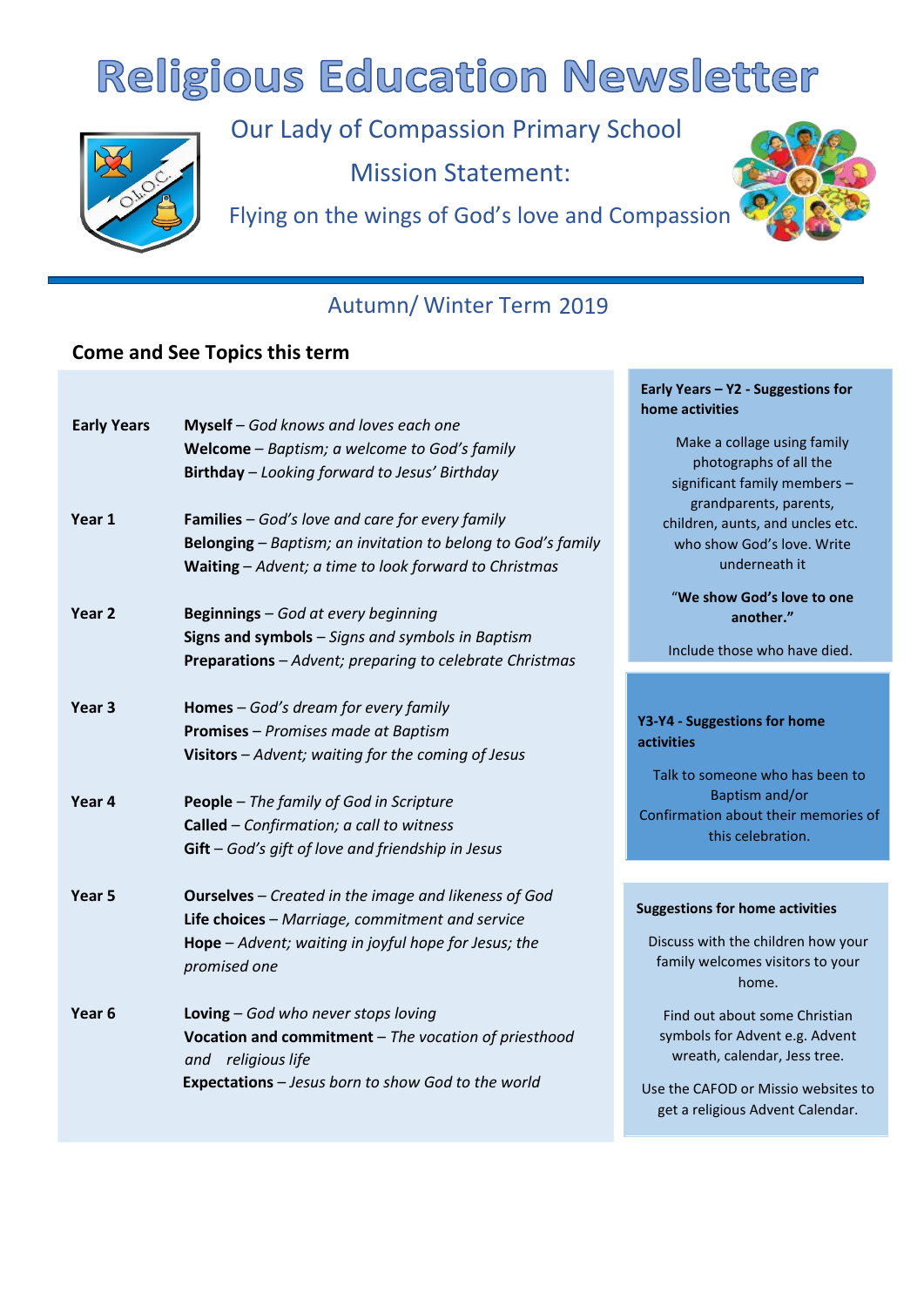# **Religious Education Newsletter**



Our Lady of Compassion Primary School Mission Statement:

Flying on the wings of God's love and Compassion



**Early Years – Y2 - Suggestions for** 

## Autumn/ Winter Term 2019

## **Come and See Topics this term**

|                    |                                                                                                                                                                                                 | home activities                                                                                                                                                            |
|--------------------|-------------------------------------------------------------------------------------------------------------------------------------------------------------------------------------------------|----------------------------------------------------------------------------------------------------------------------------------------------------------------------------|
| <b>Early Years</b> | Myself - God knows and loves each one<br>Welcome - Baptism; a welcome to God's family<br>Birthday - Looking forward to Jesus' Birthday                                                          | Make a collage using family<br>photographs of all the<br>significant family members -                                                                                      |
| Year 1             | <b>Families</b> - God's love and care for every family<br><b>Belonging</b> – Baptism; an invitation to belong to God's family<br>Waiting - Advent; a time to look forward to Christmas          | grandparents, parents,<br>children, aunts, and uncles etc.<br>who show God's love. Write<br>underneath it                                                                  |
| Year <sub>2</sub>  | Beginnings - God at every beginning<br>Signs and symbols - Signs and symbols in Baptism<br>Preparations - Advent; preparing to celebrate Christmas                                              | "We show God's love to one<br>another."<br>Include those who have died.                                                                                                    |
| Year <sub>3</sub>  | Homes - God's dream for every family<br><b>Promises</b> - Promises made at Baptism<br>Visitors - Advent; waiting for the coming of Jesus                                                        | Y3-Y4 - Suggestions for home<br><b>activities</b><br>Talk to someone who has been to                                                                                       |
| Year 4             | People - The family of God in Scripture<br>Called - Confirmation; a call to witness<br>$Gift - God's gift of love and friendly ship in Jesus$                                                   | Baptism and/or<br>Confirmation about their memories of<br>this celebration.                                                                                                |
| Year <sub>5</sub>  | <b>Ourselves</b> - Created in the image and likeness of God<br>Life choices - Marriage, commitment and service<br><b>Hope</b> $-$ Advent; waiting in joyful hope for Jesus; the<br>promised one | <b>Suggestions for home activities</b><br>Discuss with the children how your<br>family welcomes visitors to your<br>home.                                                  |
| Year <sub>6</sub>  | Loving - God who never stops loving<br>Vocation and commitment - The vocation of priesthood<br>and religious life<br>Expectations - Jesus born to show God to the world                         | Find out about some Christian<br>symbols for Advent e.g. Advent<br>wreath, calendar, Jess tree.<br>Use the CAFOD or Missio websites to<br>get a religious Advent Calendar. |